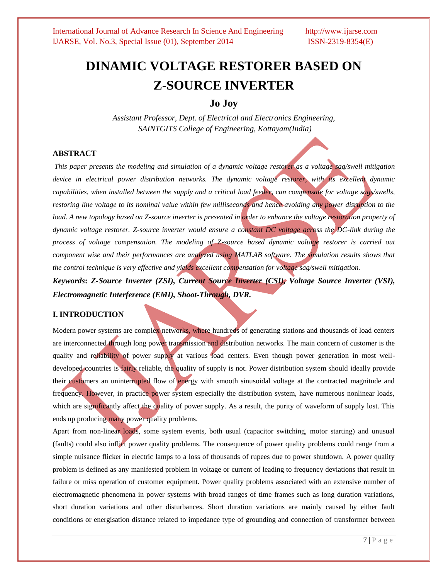# **DINAMIC VOLTAGE RESTORER BASED ON Z-SOURCE INVERTER**

### **Jo Joy**

*Assistant Professor, Dept. of Electrical and Electronics Engineering, SAINTGITS College of Engineering, Kottayam(India)*

#### **ABSTRACT**

*This paper presents the modeling and simulation of a dynamic voltage restorer as a voltage sag/swell mitigation device in electrical power distribution networks. The dynamic voltage restorer, with its excellent dynamic capabilities, when installed between the supply and a critical load feeder, can compensate for voltage sags/swells, restoring line voltage to its nominal value within few milliseconds and hence avoiding any power disruption to the* load. A new topology based on Z-source inverter is presented in order to enhance the voltage restoration property of *dynamic voltage restorer. Z-source inverter would ensure a constant DC voltage across the DC-link during the process of voltage compensation. The modeling of Z-source based dynamic voltage restorer is carried out component wise and their performances are analyzed using MATLAB software. The simulation results shows that the control technique is very effective and yields excellent compensation for voltage sag/swell mitigation.*

*Keywords***:** *Z-Source Inverter (ZSI), Current Source Inverter (CSI), Voltage Source Inverter (VSI), Electromagnetic Interference (EMI), Shoot-Through, DVR.*

#### **I. INTRODUCTION**

Modern power systems are complex networks, where hundreds of generating stations and thousands of load centers are interconnected through long power transmission and distribution networks. The main concern of customer is the quality and reliability of power supply at various load centers. Even though power generation in most welldeveloped countries is fairly reliable, the quality of supply is not. Power distribution system should ideally provide their customers an uninterrupted flow of energy with smooth sinusoidal voltage at the contracted magnitude and frequency. However, in practice power system especially the distribution system, have numerous nonlinear loads, which are significantly affect the quality of power supply. As a result, the purity of waveform of supply lost. This ends up producing many power quality problems.

Apart from non-linear loads, some system events, both usual (capacitor switching, motor starting) and unusual (faults) could also inflict power quality problems. The consequence of power quality problems could range from a simple nuisance flicker in electric lamps to a loss of thousands of rupees due to power shutdown. A power quality problem is defined as any manifested problem in voltage or current of leading to frequency deviations that result in failure or miss operation of customer equipment. Power quality problems associated with an extensive number of electromagnetic phenomena in power systems with broad ranges of time frames such as long duration variations, short duration variations and other disturbances. Short duration variations are mainly caused by either fault conditions or energisation distance related to impedance type of grounding and connection of transformer between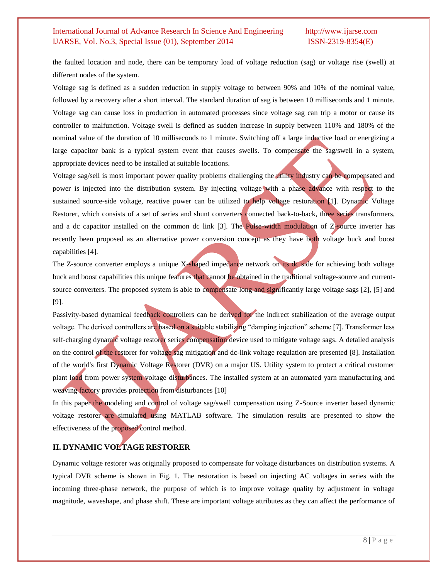the faulted location and node, there can be temporary load of voltage reduction (sag) or voltage rise (swell) at different nodes of the system.

Voltage sag is defined as a sudden reduction in supply voltage to between 90% and 10% of the nominal value, followed by a recovery after a short interval. The standard duration of sag is between 10 milliseconds and 1 minute. Voltage sag can cause loss in production in automated processes since voltage sag can trip a motor or cause its controller to malfunction. Voltage swell is defined as sudden increase in supply between 110% and 180% of the nominal value of the duration of 10 milliseconds to 1 minute. Switching off a large inductive load or energizing a large capacitor bank is a typical system event that causes swells. To compensate the sag/swell in a system, appropriate devices need to be installed at suitable locations.

Voltage sag/sell is most important power quality problems challenging the utility industry can be compensated and power is injected into the distribution system. By injecting voltage with a phase advance with respect to the sustained source-side voltage, reactive power can be utilized to help voltage restoration [1]. Dynamic Voltage Restorer, which consists of a set of series and shunt converters connected back-to-back, three series transformers, and a dc capacitor installed on the common dc link  $[3]$ . The Pulse-width modulation of Z-source inverter has recently been proposed as an alternative power conversion concept as they have both voltage buck and boost capabilities [4].

The Z-source converter employs a unique X-shaped impedance network on its dc side for achieving both voltage buck and boost capabilities this unique features that cannot be obtained in the traditional voltage-source and currentsource converters. The proposed system is able to compensate long and significantly large voltage sags [2], [5] and [9].

Passivity-based dynamical feedback controllers can be derived for the indirect stabilization of the average output voltage. The derived controllers are based on a suitable stabilizing "damping injection" scheme [7]. Transformer less self-charging dynamic voltage restorer series compensation device used to mitigate voltage sags. A detailed analysis on the control of the restorer for voltage sag mitigation and dc-link voltage regulation are presented [8]. Installation of the world's first Dynamic Voltage Restorer (DVR) on a major US. Utility system to protect a critical customer plant load from power system voltage disturbances. The installed system at an automated yarn manufacturing and weaving factory provides protection from disturbances [10]

In this paper the modeling and control of voltage sag/swell compensation using Z-Source inverter based dynamic voltage restorer are simulated using MATLAB software. The simulation results are presented to show the effectiveness of the proposed control method.

### **II. DYNAMIC VOLTAGE RESTORER**

Dynamic voltage restorer was originally proposed to compensate for voltage disturbances on distribution systems. A typical DVR scheme is shown in Fig. 1. The restoration is based on injecting AC voltages in series with the incoming three-phase network, the purpose of which is to improve voltage quality by adjustment in voltage magnitude, waveshape, and phase shift. These are important voltage attributes as they can affect the performance of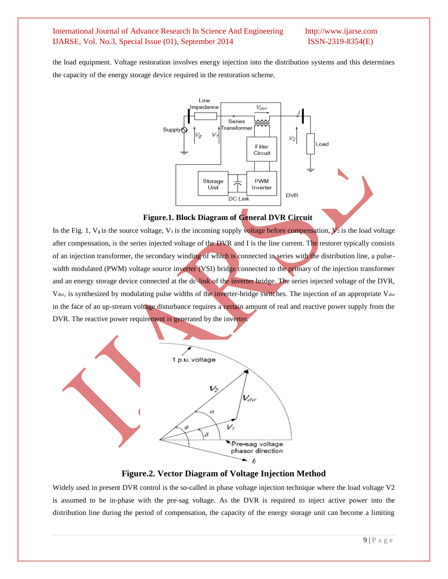the load equipment. Voltage restoration involves energy injection into the distribution systems and this determines the capacity of the energy storage device required in the restoration scheme.



**Figure.1. Block Diagram of General DVR Circuit**

In the Fig. 1,  $V_g$  is the source voltage, V<sub>1</sub> is the incoming supply voltage before compensation,  $V_2$  is the load voltage after compensation, is the series injected voltage of the DVR and I is the line current. The restorer typically consists of an injection transformer, the secondary winding of which is connected in series with the distribution line, a pulsewidth modulated (PWM) voltage source inverter (VSI) bridge connected to the primary of the injection transformer and an energy storage device connected at the dc-link of the inverter bridge. The series injected voltage of the DVR, V<sub>dvr</sub>, is synthesized by modulating pulse widths of the inverter-bridge switches. The injection of an appropriate V<sub>dvr</sub> in the face of an up-stream voltage disturbance requires a certain amount of real and reactive power supply from the DVR. The reactive power requirement is generated by the inverter.



**Figure.2. Vector Diagram of Voltage Injection Method**

Widely used in present DVR control is the so-called in phase voltage injection technique where the load voltage V2 is assumed to be in-phase with the pre-sag voltage. As the DVR is required to inject active power into the distribution line during the period of compensation, the capacity of the energy storage unit can become a limiting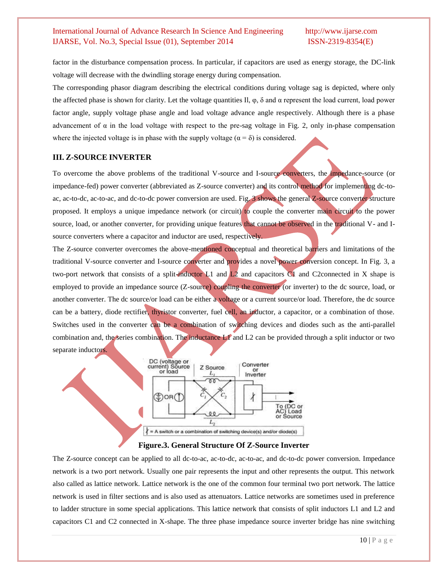factor in the disturbance compensation process. In particular, if capacitors are used as energy storage, the DC-link voltage will decrease with the dwindling storage energy during compensation.

The corresponding phasor diagram describing the electrical conditions during voltage sag is depicted, where only the affected phase is shown for clarity. Let the voltage quantities II,  $\varphi$ ,  $\delta$  and  $\alpha$  represent the load current, load power factor angle, supply voltage phase angle and load voltage advance angle respectively. Although there is a phase advancement of  $\alpha$  in the load voltage with respect to the pre-sag voltage in Fig. 2, only in-phase compensation where the injected voltage is in phase with the supply voltage ( $\alpha = \delta$ ) is considered.

#### **III. Z-SOURCE INVERTER**

To overcome the above problems of the traditional V-source and I-source converters, the impedance-source (or impedance-fed) power converter (abbreviated as Z-source converter) and its control method for implementing dc-toac, ac-to-dc, ac-to-ac, and dc-to-dc power conversion are used. Fig. 3 shows the general Z-source converter structure proposed. It employs a unique impedance network (or circuit) to couple the converter main circuit to the power source, load, or another converter, for providing unique features that cannot be observed in the traditional V- and Isource converters where a capacitor and inductor are used, respectively.

The Z-source converter overcomes the above-mentioned conceptual and theoretical barriers and limitations of the traditional V-source converter and I-source converter and provides a novel power conversion concept. In Fig. 3, a two-port network that consists of a split-inductor L1 and  $L<sup>2</sup>$  and capacitors C1 and C2connected in X shape is employed to provide an impedance source (Z-source) coupling the converter (or inverter) to the dc source, load, or another converter. The dc source/or load can be either a voltage or a current source/or load. Therefore, the dc source can be a battery, diode rectifier, thyristor converter, fuel cell, an inductor, a capacitor, or a combination of those. Switches used in the converter can be a combination of switching devices and diodes such as the anti-parallel combination and, the series combination. The inductance L1 and L2 can be provided through a split inductor or two separate inductors.



#### **Figure.3. General Structure Of Z-Source Inverter**

The Z-source concept can be applied to all dc-to-ac, ac-to-dc, ac-to-ac, and dc-to-dc power conversion. Impedance network is a two port network. Usually one pair represents the input and other represents the output. This network also called as lattice network. Lattice network is the one of the common four terminal two port network. The lattice network is used in filter sections and is also used as attenuators. Lattice networks are sometimes used in preference to ladder structure in some special applications. This lattice network that consists of split inductors L1 and L2 and capacitors C1 and C2 connected in X-shape. The three phase impedance source inverter bridge has nine switching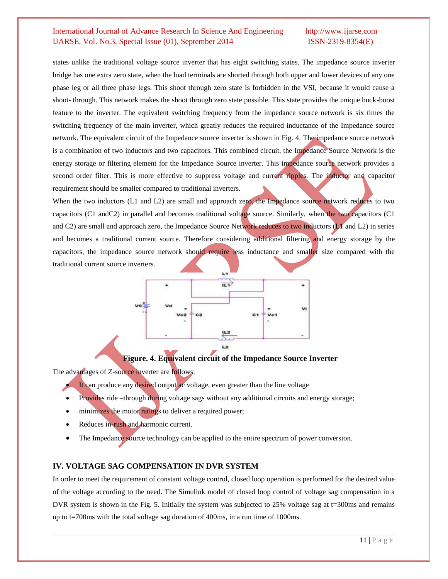states unlike the traditional voltage source inverter that has eight switching states. The impedance source inverter bridge has one extra zero state, when the load terminals are shorted through both upper and lower devices of any one phase leg or all three phase legs. This shoot through zero state is forbidden in the VSI, because it would cause a shoot- through. This network makes the shoot through zero state possible. This state provides the unique buck-boost feature to the inverter. The equivalent switching frequency from the impedance source network is six times the switching frequency of the main inverter, which greatly reduces the required inductance of the Impedance source network. The equivalent circuit of the Impedance source inverter is shown in Fig. 4. The impedance source network is a combination of two inductors and two capacitors. This combined circuit, the Impedance Source Network is the energy storage or filtering element for the Impedance Source inverter. This impedance source network provides a second order filter. This is more effective to suppress voltage and current ripples. The inductor and capacitor requirement should be smaller compared to traditional inverters.

When the two inductors (L1 and L2) are small and approach zero, the Impedance source network reduces to two capacitors (C1 andC2) in parallel and becomes traditional voltage source. Similarly, when the two capacitors (C1 and C2) are small and approach zero, the Impedance Source Network reduces to two inductors  $(L1)$  and L2) in series and becomes a traditional current source. Therefore considering additional filtering and energy storage by the capacitors, the impedance source network should require less inductance and smaller size compared with the traditional current source inverters.



#### **Figure. 4. Equivalent circuit of the Impedance Source Inverter**

The advantages of Z-source inverter are follows:

- It can produce any desired output ac voltage, even greater than the line voltage
- Provides ride –through during voltage sags without any additional circuits and energy storage;
- minimizes the motor ratings to deliver a required power;
- Reduces in-rush and harmonic current.
- The Impedance source technology can be applied to the entire spectrum of power conversion.

#### **IV. VOLTAGE SAG COMPENSATION IN DVR SYSTEM**

In order to meet the requirement of constant voltage control, closed loop operation is performed for the desired value of the voltage according to the need. The Simulink model of closed loop control of voltage sag compensation in a DVR system is shown in the Fig. 5. Initially the system was subjected to 25% voltage sag at t=300ms and remains up to t=700ms with the total voltage sag duration of 400ms, in a run time of 1000ms.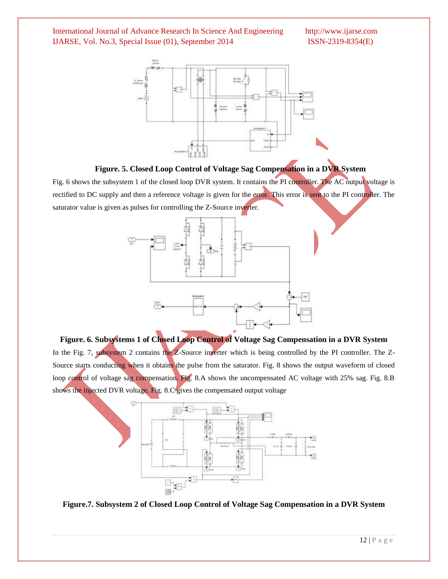



Fig. 6 shows the subsystem 1 of the closed loop DVR system. It contains the PI controller. The AC output voltage is rectified to DC supply and then a reference voltage is given for the error. This error is sent to the PI controller. The saturator value is given as pulses for controlling the Z-Source inverter.



**Figure. 6. Subsystems 1 of Closed Loop Control of Voltage Sag Compensation in a DVR System** In the Fig. 7, subsystem 2 contains the Z-Source inverter which is being controlled by the PI controller. The Z-Source starts conducting when it obtains the pulse from the saturator. Fig. 8 shows the output waveform of closed loop control of voltage sag compensation. Fig. 8.A shows the uncompensated AC voltage with 25% sag. Fig. 8.B shows the injected DVR voltage. Fig. 8.C gives the compensated output voltage



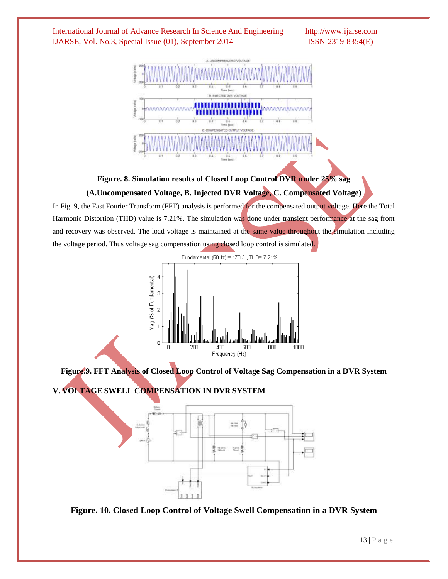

**Figure. 8. Simulation results of Closed Loop Control DVR under 25% sag** 

### **(A.Uncompensated Voltage, B. Injected DVR Voltage, C. Compensated Voltage)**

In Fig. 9, the Fast Fourier Transform (FFT) analysis is performed for the compensated output voltage. Here the Total Harmonic Distortion (THD) value is 7.21%. The simulation was done under transient performance at the sag front and recovery was observed. The load voltage is maintained at the same value throughout the simulation including the voltage period. Thus voltage sag compensation using closed loop control is simulated.



**Figure.9. FFT Analysis of Closed Loop Control of Voltage Sag Compensation in a DVR System**

**V. VOLTAGE SWELL COMPENSATION IN DVR SYSTEM**



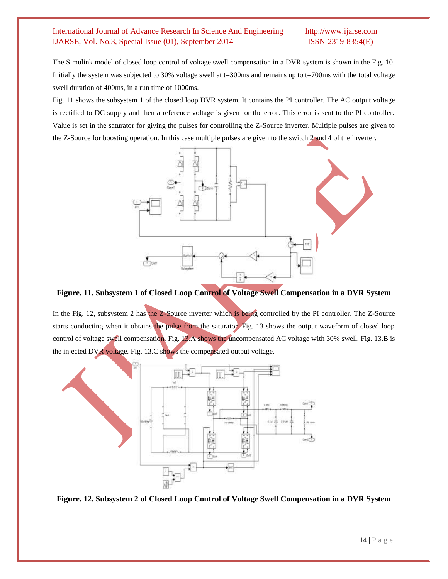The Simulink model of closed loop control of voltage swell compensation in a DVR system is shown in the Fig. 10. Initially the system was subjected to 30% voltage swell at t=300ms and remains up to t=700ms with the total voltage swell duration of 400ms, in a run time of 1000ms.

Fig. 11 shows the subsystem 1 of the closed loop DVR system. It contains the PI controller. The AC output voltage is rectified to DC supply and then a reference voltage is given for the error. This error is sent to the PI controller. Value is set in the saturator for giving the pulses for controlling the Z-Source inverter. Multiple pulses are given to the Z-Source for boosting operation. In this case multiple pulses are given to the switch 2 and 4 of the inverter.



**Figure. 11. Subsystem 1 of Closed Loop Control of Voltage Swell Compensation in a DVR System**

In the Fig. 12, subsystem 2 has the Z-Source inverter which is being controlled by the PI controller. The Z-Source starts conducting when it obtains the pulse from the saturator. Fig. 13 shows the output waveform of closed loop control of voltage swell compensation. Fig. 13.A shows the uncompensated AC voltage with 30% swell. Fig. 13.B is the injected DVR voltage. Fig. 13.C shows the compensated output voltage.



**Figure. 12. Subsystem 2 of Closed Loop Control of Voltage Swell Compensation in a DVR System**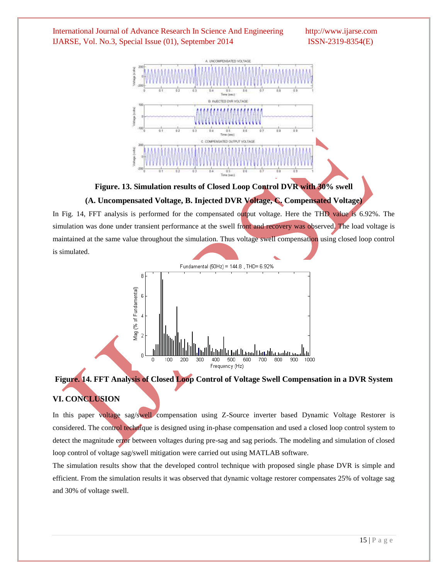

**Figure. 13. Simulation results of Closed Loop Control DVR with 30% swell** 

#### **(A. Uncompensated Voltage, B. Injected DVR Voltage, C. Compensated Voltage)**

In Fig. 14, FFT analysis is performed for the compensated output voltage. Here the THD value is 6.92%. The simulation was done under transient performance at the swell front and recovery was observed. The load voltage is maintained at the same value throughout the simulation. Thus voltage swell compensation using closed loop control is simulated.



## **Figure. 14. FFT Analysis of Closed Loop Control of Voltage Swell Compensation in a DVR System VI. CONCLUSION**

In this paper voltage sag/swell compensation using Z-Source inverter based Dynamic Voltage Restorer is considered. The control technique is designed using in-phase compensation and used a closed loop control system to detect the magnitude error between voltages during pre-sag and sag periods. The modeling and simulation of closed loop control of voltage sag/swell mitigation were carried out using MATLAB software.

The simulation results show that the developed control technique with proposed single phase DVR is simple and efficient. From the simulation results it was observed that dynamic voltage restorer compensates 25% of voltage sag and 30% of voltage swell.